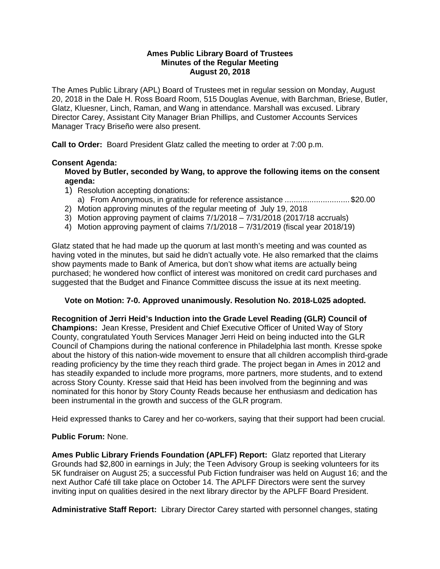#### **Ames Public Library Board of Trustees Minutes of the Regular Meeting August 20, 2018**

The Ames Public Library (APL) Board of Trustees met in regular session on Monday, August 20, 2018 in the Dale H. Ross Board Room, 515 Douglas Avenue, with Barchman, Briese, Butler, Glatz, Kluesner, Linch, Raman, and Wang in attendance. Marshall was excused. Library Director Carey, Assistant City Manager Brian Phillips, and Customer Accounts Services Manager Tracy Briseño were also present.

**Call to Order:** Board President Glatz called the meeting to order at 7:00 p.m.

# **Consent Agenda:**

**Moved by Butler, seconded by Wang, to approve the following items on the consent agenda:**

- 1) Resolution accepting donations:
- a) From Anonymous, in gratitude for reference assistance ............................. \$20.00
- 2) Motion approving minutes of the regular meeting of July 19, 2018
- 3) Motion approving payment of claims 7/1/2018 7/31/2018 (2017/18 accruals)
- 4) Motion approving payment of claims 7/1/2018 7/31/2019 (fiscal year 2018/19)

Glatz stated that he had made up the quorum at last month's meeting and was counted as having voted in the minutes, but said he didn't actually vote. He also remarked that the claims show payments made to Bank of America, but don't show what items are actually being purchased; he wondered how conflict of interest was monitored on credit card purchases and suggested that the Budget and Finance Committee discuss the issue at its next meeting.

## **Vote on Motion: 7-0. Approved unanimously. Resolution No. 2018-L025 adopted.**

**Recognition of Jerri Heid's Induction into the Grade Level Reading (GLR) Council of Champions:** Jean Kresse, President and Chief Executive Officer of United Way of Story County, congratulated Youth Services Manager Jerri Heid on being inducted into the GLR Council of Champions during the national conference in Philadelphia last month. Kresse spoke about the history of this nation-wide movement to ensure that all children accomplish third-grade reading proficiency by the time they reach third grade. The project began in Ames in 2012 and has steadily expanded to include more programs, more partners, more students, and to extend across Story County. Kresse said that Heid has been involved from the beginning and was nominated for this honor by Story County Reads because her enthusiasm and dedication has been instrumental in the growth and success of the GLR program.

Heid expressed thanks to Carey and her co-workers, saying that their support had been crucial.

## **Public Forum:** None.

**Ames Public Library Friends Foundation (APLFF) Report:** Glatz reported that Literary Grounds had \$2,800 in earnings in July; the Teen Advisory Group is seeking volunteers for its 5K fundraiser on August 25; a successful Pub Fiction fundraiser was held on August 16; and the next Author Café till take place on October 14. The APLFF Directors were sent the survey inviting input on qualities desired in the next library director by the APLFF Board President.

**Administrative Staff Report:** Library Director Carey started with personnel changes, stating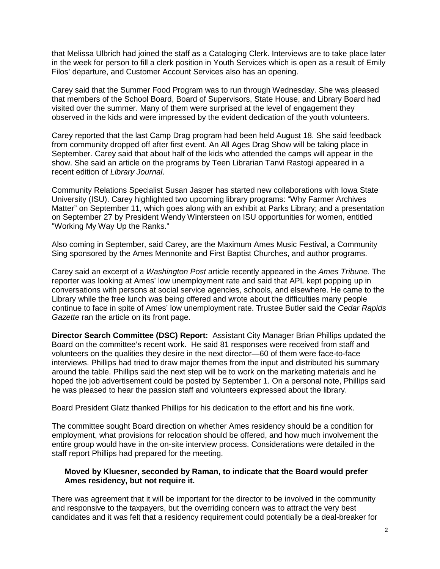that Melissa Ulbrich had joined the staff as a Cataloging Clerk. Interviews are to take place later in the week for person to fill a clerk position in Youth Services which is open as a result of Emily Filos' departure, and Customer Account Services also has an opening.

Carey said that the Summer Food Program was to run through Wednesday. She was pleased that members of the School Board, Board of Supervisors, State House, and Library Board had visited over the summer. Many of them were surprised at the level of engagement they observed in the kids and were impressed by the evident dedication of the youth volunteers.

Carey reported that the last Camp Drag program had been held August 18. She said feedback from community dropped off after first event. An All Ages Drag Show will be taking place in September. Carey said that about half of the kids who attended the camps will appear in the show. She said an article on the programs by Teen Librarian Tanvi Rastogi appeared in a recent edition of *Library Journal*.

Community Relations Specialist Susan Jasper has started new collaborations with Iowa State University (ISU). Carey highlighted two upcoming library programs: "Why Farmer Archives Matter" on September 11, which goes along with an exhibit at Parks Library; and a presentation on September 27 by President Wendy Wintersteen on ISU opportunities for women, entitled "Working My Way Up the Ranks."

Also coming in September, said Carey, are the Maximum Ames Music Festival, a Community Sing sponsored by the Ames Mennonite and First Baptist Churches, and author programs.

Carey said an excerpt of a *Washington Post* article recently appeared in the *Ames Tribune*. The reporter was looking at Ames' low unemployment rate and said that APL kept popping up in conversations with persons at social service agencies, schools, and elsewhere. He came to the Library while the free lunch was being offered and wrote about the difficulties many people continue to face in spite of Ames' low unemployment rate. Trustee Butler said the *Cedar Rapids Gazette* ran the article on its front page.

**Director Search Committee (DSC) Report:** Assistant City Manager Brian Phillips updated the Board on the committee's recent work. He said 81 responses were received from staff and volunteers on the qualities they desire in the next director—60 of them were face-to-face interviews. Phillips had tried to draw major themes from the input and distributed his summary around the table. Phillips said the next step will be to work on the marketing materials and he hoped the job advertisement could be posted by September 1. On a personal note, Phillips said he was pleased to hear the passion staff and volunteers expressed about the library.

Board President Glatz thanked Phillips for his dedication to the effort and his fine work.

The committee sought Board direction on whether Ames residency should be a condition for employment, what provisions for relocation should be offered, and how much involvement the entire group would have in the on-site interview process. Considerations were detailed in the staff report Phillips had prepared for the meeting.

#### **Moved by Kluesner, seconded by Raman, to indicate that the Board would prefer Ames residency, but not require it.**

There was agreement that it will be important for the director to be involved in the community and responsive to the taxpayers, but the overriding concern was to attract the very best candidates and it was felt that a residency requirement could potentially be a deal-breaker for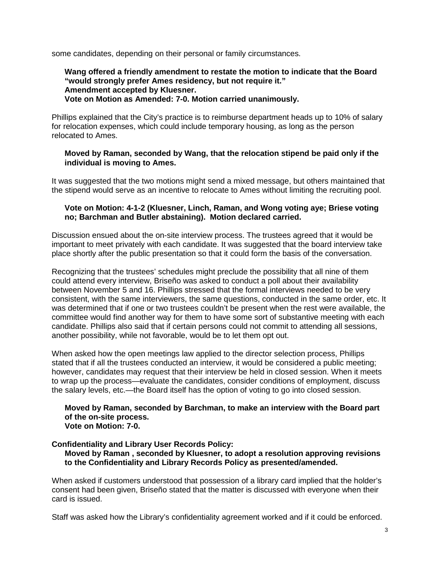some candidates, depending on their personal or family circumstances.

#### **Wang offered a friendly amendment to restate the motion to indicate that the Board "would strongly prefer Ames residency, but not require it." Amendment accepted by Kluesner. Vote on Motion as Amended: 7-0. Motion carried unanimously.**

Phillips explained that the City's practice is to reimburse department heads up to 10% of salary for relocation expenses, which could include temporary housing, as long as the person relocated to Ames.

## **Moved by Raman, seconded by Wang, that the relocation stipend be paid only if the individual is moving to Ames.**

It was suggested that the two motions might send a mixed message, but others maintained that the stipend would serve as an incentive to relocate to Ames without limiting the recruiting pool.

## **Vote on Motion: 4-1-2 (Kluesner, Linch, Raman, and Wong voting aye; Briese voting no; Barchman and Butler abstaining). Motion declared carried.**

Discussion ensued about the on-site interview process. The trustees agreed that it would be important to meet privately with each candidate. It was suggested that the board interview take place shortly after the public presentation so that it could form the basis of the conversation.

Recognizing that the trustees' schedules might preclude the possibility that all nine of them could attend every interview, Briseño was asked to conduct a poll about their availability between November 5 and 16. Phillips stressed that the formal interviews needed to be very consistent, with the same interviewers, the same questions, conducted in the same order, etc. It was determined that if one or two trustees couldn't be present when the rest were available, the committee would find another way for them to have some sort of substantive meeting with each candidate. Phillips also said that if certain persons could not commit to attending all sessions, another possibility, while not favorable, would be to let them opt out.

When asked how the open meetings law applied to the director selection process, Phillips stated that if all the trustees conducted an interview, it would be considered a public meeting; however, candidates may request that their interview be held in closed session. When it meets to wrap up the process—evaluate the candidates, consider conditions of employment, discuss the salary levels, etc.—the Board itself has the option of voting to go into closed session.

#### **Moved by Raman, seconded by Barchman, to make an interview with the Board part of the on-site process. Vote on Motion: 7-0.**

## **Confidentiality and Library User Records Policy:**

**Moved by Raman , seconded by Kluesner, to adopt a resolution approving revisions to the Confidentiality and Library Records Policy as presented/amended.**

When asked if customers understood that possession of a library card implied that the holder's consent had been given, Briseño stated that the matter is discussed with everyone when their card is issued.

Staff was asked how the Library's confidentiality agreement worked and if it could be enforced.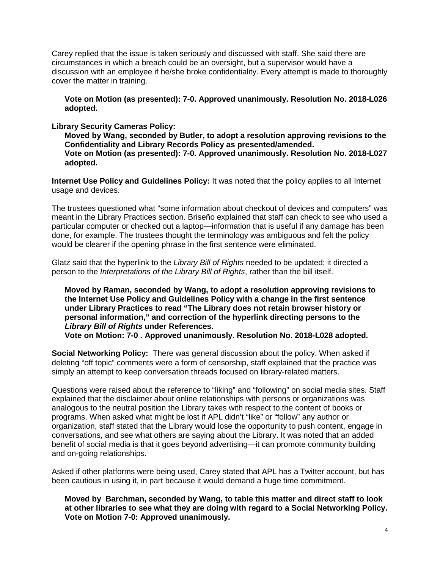Carey replied that the issue is taken seriously and discussed with staff. She said there are circumstances in which a breach could be an oversight, but a supervisor would have a discussion with an employee if he/she broke confidentiality. Every attempt is made to thoroughly cover the matter in training.

**Vote on Motion (as presented): 7-0. Approved unanimously. Resolution No. 2018-L026 adopted.**

**Library Security Cameras Policy:** 

**Moved by Wang, seconded by Butler, to adopt a resolution approving revisions to the Confidentiality and Library Records Policy as presented/amended. Vote on Motion (as presented): 7-0. Approved unanimously. Resolution No. 2018-L027 adopted.**

**Internet Use Policy and Guidelines Policy:** It was noted that the policy applies to all Internet usage and devices.

The trustees questioned what "some information about checkout of devices and computers" was meant in the Library Practices section. Briseño explained that staff can check to see who used a particular computer or checked out a laptop—information that is useful if any damage has been done, for example. The trustees thought the terminology was ambiguous and felt the policy would be clearer if the opening phrase in the first sentence were eliminated.

Glatz said that the hyperlink to the *Library Bill of Rights* needed to be updated; it directed a person to the *Interpretations of the Library Bill of Rights*, rather than the bill itself.

**Moved by Raman, seconded by Wang, to adopt a resolution approving revisions to the Internet Use Policy and Guidelines Policy with a change in the first sentence under Library Practices to read "The Library does not retain browser history or personal information," and correction of the hyperlink directing persons to the**  *Library Bill of Rights* **under References. Vote on Motion: 7-0 . Approved unanimously. Resolution No. 2018-L028 adopted.**

**Social Networking Policy:** There was general discussion about the policy. When asked if deleting "off topic" comments were a form of censorship, staff explained that the practice was simply an attempt to keep conversation threads focused on library-related matters.

Questions were raised about the reference to "liking" and "following" on social media sites. Staff explained that the disclaimer about online relationships with persons or organizations was analogous to the neutral position the Library takes with respect to the content of books or programs. When asked what might be lost if APL didn't "like" or "follow" any author or organization, staff stated that the Library would lose the opportunity to push content, engage in conversations, and see what others are saying about the Library. It was noted that an added benefit of social media is that it goes beyond advertising—it can promote community building and on-going relationships.

Asked if other platforms were being used, Carey stated that APL has a Twitter account, but has been cautious in using it, in part because it would demand a huge time commitment.

**Moved by Barchman, seconded by Wang, to table this matter and direct staff to look at other libraries to see what they are doing with regard to a Social Networking Policy. Vote on Motion 7-0: Approved unanimously.**